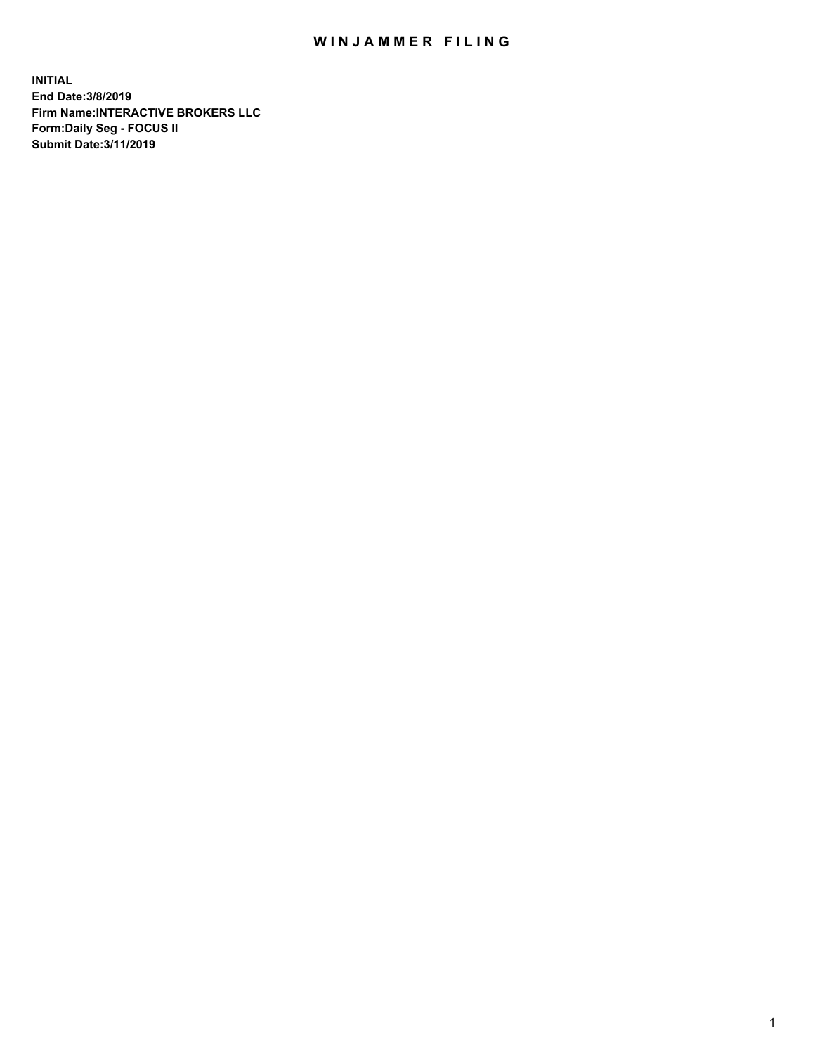## WIN JAMMER FILING

**INITIAL End Date:3/8/2019 Firm Name:INTERACTIVE BROKERS LLC Form:Daily Seg - FOCUS II Submit Date:3/11/2019**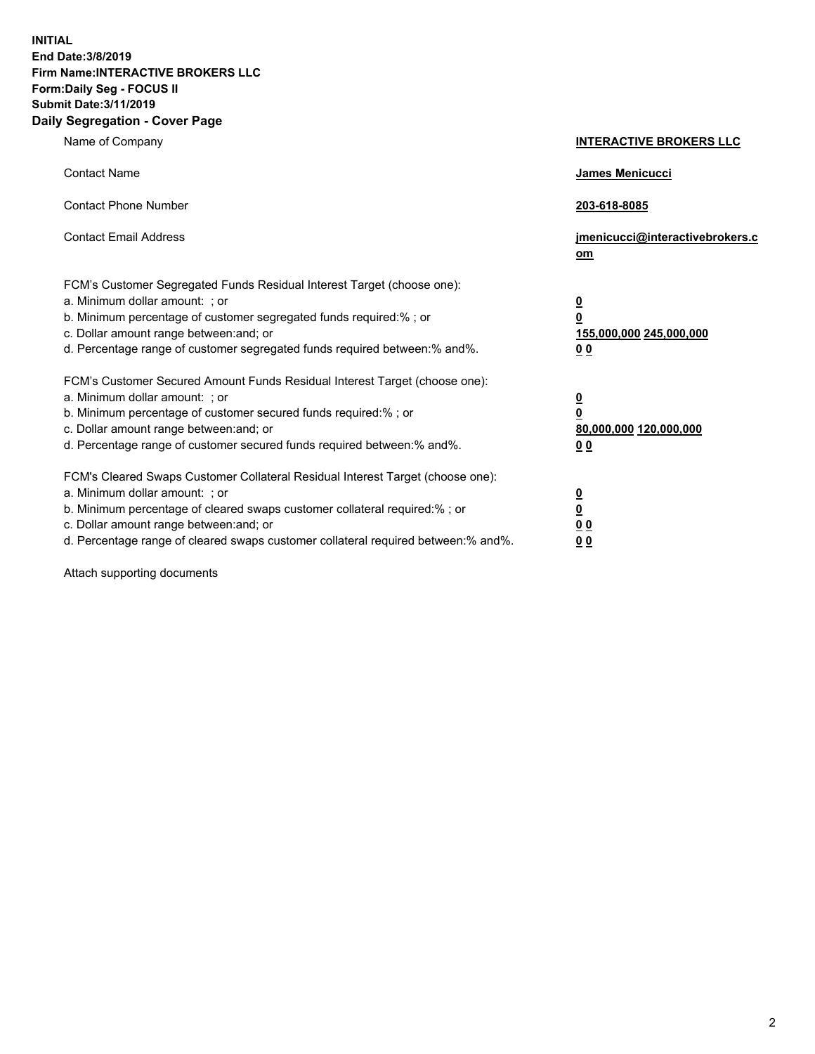**INITIAL End Date:3/8/2019 Firm Name:INTERACTIVE BROKERS LLC Form:Daily Seg - FOCUS II Submit Date:3/11/2019 Daily Segregation - Cover Page**

| Name of Company                                                                                                                                                                                                                                                                                                                | <b>INTERACTIVE BROKERS LLC</b>                                                                  |
|--------------------------------------------------------------------------------------------------------------------------------------------------------------------------------------------------------------------------------------------------------------------------------------------------------------------------------|-------------------------------------------------------------------------------------------------|
| <b>Contact Name</b>                                                                                                                                                                                                                                                                                                            | James Menicucci                                                                                 |
| <b>Contact Phone Number</b>                                                                                                                                                                                                                                                                                                    | 203-618-8085                                                                                    |
| <b>Contact Email Address</b>                                                                                                                                                                                                                                                                                                   | jmenicucci@interactivebrokers.c<br>om                                                           |
| FCM's Customer Segregated Funds Residual Interest Target (choose one):<br>a. Minimum dollar amount: ; or<br>b. Minimum percentage of customer segregated funds required:% ; or<br>c. Dollar amount range between: and; or<br>d. Percentage range of customer segregated funds required between:% and%.                         | $\overline{\mathbf{0}}$<br>$\overline{\mathbf{0}}$<br>155,000,000 245,000,000<br>0 <sub>0</sub> |
| FCM's Customer Secured Amount Funds Residual Interest Target (choose one):<br>a. Minimum dollar amount: ; or<br>b. Minimum percentage of customer secured funds required:% ; or<br>c. Dollar amount range between: and; or<br>d. Percentage range of customer secured funds required between:% and%.                           | $\overline{\mathbf{0}}$<br>0<br>80,000,000 120,000,000<br>0 <sub>0</sub>                        |
| FCM's Cleared Swaps Customer Collateral Residual Interest Target (choose one):<br>a. Minimum dollar amount: ; or<br>b. Minimum percentage of cleared swaps customer collateral required:% ; or<br>c. Dollar amount range between: and; or<br>d. Percentage range of cleared swaps customer collateral required between:% and%. | $\overline{\mathbf{0}}$<br><u>0</u><br>$\underline{0}$ $\underline{0}$<br>00                    |

Attach supporting documents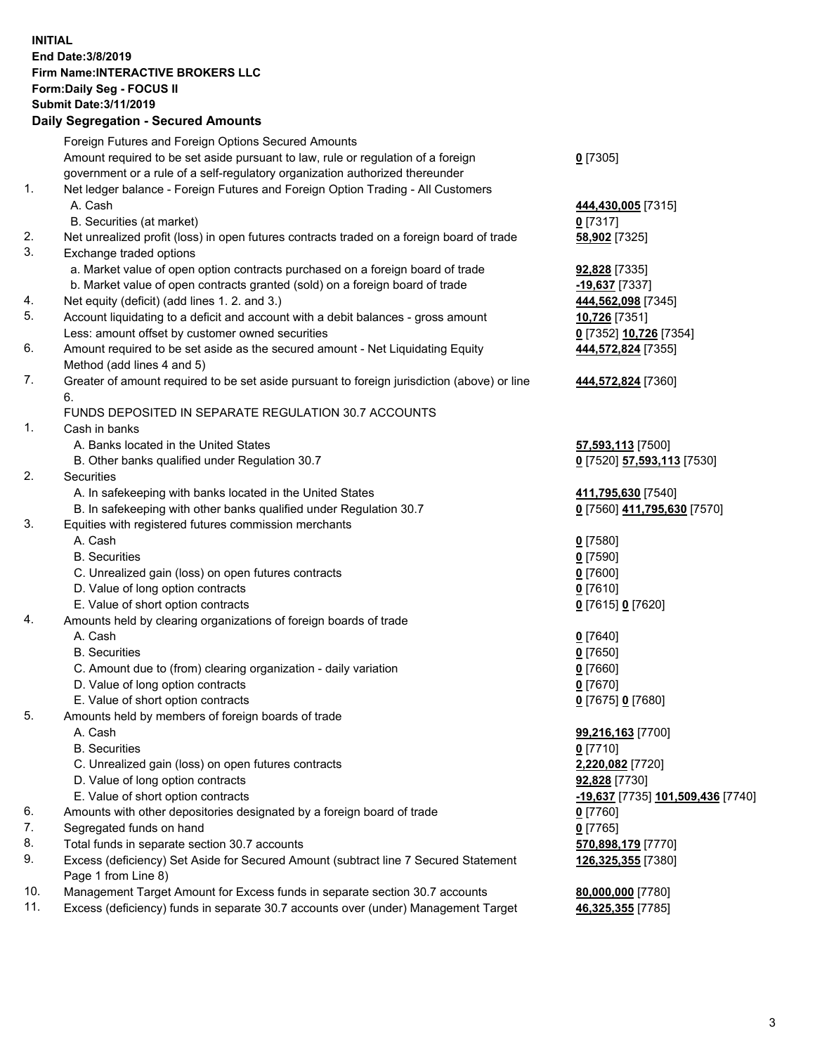## **INITIAL End Date:3/8/2019 Firm Name:INTERACTIVE BROKERS LLC Form:Daily Seg - FOCUS II Submit Date:3/11/2019 Daily Segregation - Secured Amounts**

|     | Daily Jegiegation - Jeculed Aniounts                                                                       |                                   |
|-----|------------------------------------------------------------------------------------------------------------|-----------------------------------|
|     | Foreign Futures and Foreign Options Secured Amounts                                                        |                                   |
|     | Amount required to be set aside pursuant to law, rule or regulation of a foreign                           | $0$ [7305]                        |
|     | government or a rule of a self-regulatory organization authorized thereunder                               |                                   |
| 1.  | Net ledger balance - Foreign Futures and Foreign Option Trading - All Customers                            |                                   |
|     | A. Cash                                                                                                    | 444,430,005 [7315]                |
|     | B. Securities (at market)                                                                                  | $0$ [7317]                        |
| 2.  | Net unrealized profit (loss) in open futures contracts traded on a foreign board of trade                  | 58,902 [7325]                     |
| 3.  | Exchange traded options                                                                                    |                                   |
|     | a. Market value of open option contracts purchased on a foreign board of trade                             | 92,828 [7335]                     |
|     | b. Market value of open contracts granted (sold) on a foreign board of trade                               | -19,637 [7337]                    |
| 4.  | Net equity (deficit) (add lines 1. 2. and 3.)                                                              | 444,562,098 [7345]                |
| 5.  | Account liquidating to a deficit and account with a debit balances - gross amount                          | 10,726 [7351]                     |
|     | Less: amount offset by customer owned securities                                                           | 0 [7352] 10,726 [7354]            |
| 6.  | Amount required to be set aside as the secured amount - Net Liquidating Equity                             | 444,572,824 [7355]                |
|     | Method (add lines 4 and 5)                                                                                 |                                   |
| 7.  | Greater of amount required to be set aside pursuant to foreign jurisdiction (above) or line                | 444,572,824 [7360]                |
|     | 6.                                                                                                         |                                   |
|     | FUNDS DEPOSITED IN SEPARATE REGULATION 30.7 ACCOUNTS                                                       |                                   |
| 1.  | Cash in banks                                                                                              |                                   |
|     | A. Banks located in the United States                                                                      | 57,593,113 [7500]                 |
|     | B. Other banks qualified under Regulation 30.7                                                             | 0 [7520] 57,593,113 [7530]        |
| 2.  | Securities                                                                                                 |                                   |
|     | A. In safekeeping with banks located in the United States                                                  | 411,795,630 [7540]                |
|     | B. In safekeeping with other banks qualified under Regulation 30.7                                         | 0 [7560] 411,795,630 [7570]       |
| 3.  | Equities with registered futures commission merchants                                                      |                                   |
|     | A. Cash                                                                                                    | $0$ [7580]                        |
|     | <b>B.</b> Securities                                                                                       | $0$ [7590]                        |
|     | C. Unrealized gain (loss) on open futures contracts                                                        | $0$ [7600]                        |
|     | D. Value of long option contracts                                                                          | $0$ [7610]                        |
|     | E. Value of short option contracts                                                                         | 0 [7615] 0 [7620]                 |
| 4.  | Amounts held by clearing organizations of foreign boards of trade                                          |                                   |
|     | A. Cash                                                                                                    | $0$ [7640]                        |
|     | <b>B.</b> Securities                                                                                       | $0$ [7650]                        |
|     | C. Amount due to (from) clearing organization - daily variation                                            | $0$ [7660]                        |
|     | D. Value of long option contracts                                                                          | $0$ [7670]                        |
|     | E. Value of short option contracts                                                                         | 0 [7675] 0 [7680]                 |
| 5.  | Amounts held by members of foreign boards of trade                                                         |                                   |
|     | A. Cash                                                                                                    | 99,216,163 [7700]                 |
|     | <b>B.</b> Securities                                                                                       | $0$ [7710]                        |
|     | C. Unrealized gain (loss) on open futures contracts                                                        | 2,220,082 [7720]                  |
|     | D. Value of long option contracts                                                                          | 92,828 [7730]                     |
|     | E. Value of short option contracts                                                                         | -19,637 [7735] 101,509,436 [7740] |
| 6.  | Amounts with other depositories designated by a foreign board of trade                                     | $0$ [7760]                        |
| 7.  | Segregated funds on hand                                                                                   | $0$ [7765]                        |
| 8.  | Total funds in separate section 30.7 accounts                                                              | 570,898,179 [7770]                |
| 9.  | Excess (deficiency) Set Aside for Secured Amount (subtract line 7 Secured Statement<br>Page 1 from Line 8) | 126,325,355 [7380]                |
| 10. | Management Target Amount for Excess funds in separate section 30.7 accounts                                | 80,000,000 [7780]                 |
| 11. | Excess (deficiency) funds in separate 30.7 accounts over (under) Management Target                         | 46,325,355 [7785]                 |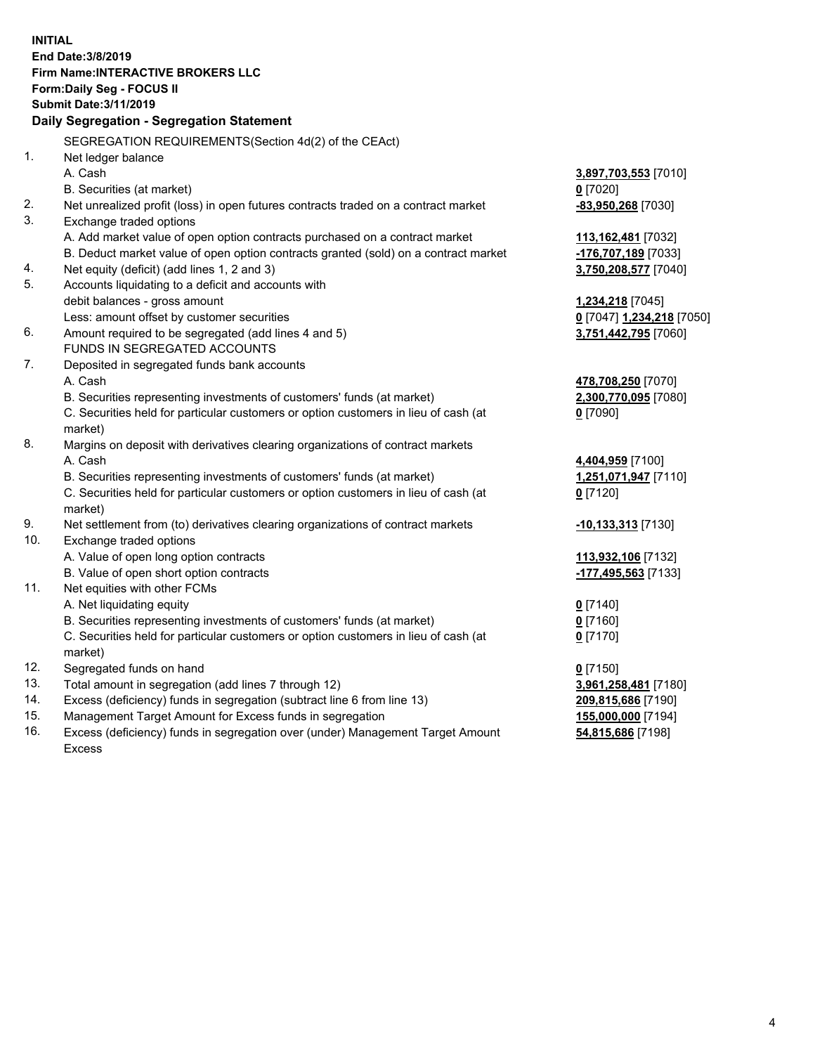**INITIAL End Date:3/8/2019 Firm Name:INTERACTIVE BROKERS LLC Form:Daily Seg - FOCUS II Submit Date:3/11/2019 Daily Segregation - Segregation Statement** SEGREGATION REQUIREMENTS(Section 4d(2) of the CEAct) 1. Net ledger balance A. Cash **3,897,703,553** [7010] B. Securities (at market) **0** [7020] 2. Net unrealized profit (loss) in open futures contracts traded on a contract market **-83,950,268** [7030] 3. Exchange traded options A. Add market value of open option contracts purchased on a contract market **113,162,481** [7032] B. Deduct market value of open option contracts granted (sold) on a contract market **-176,707,189** [7033] 4. Net equity (deficit) (add lines 1, 2 and 3) **3,750,208,577** [7040] 5. Accounts liquidating to a deficit and accounts with debit balances - gross amount **1,234,218** [7045] Less: amount offset by customer securities **0** [7047] **1,234,218** [7050] 6. Amount required to be segregated (add lines 4 and 5) **3,751,442,795** [7060] FUNDS IN SEGREGATED ACCOUNTS 7. Deposited in segregated funds bank accounts A. Cash **478,708,250** [7070] B. Securities representing investments of customers' funds (at market) **2,300,770,095** [7080] C. Securities held for particular customers or option customers in lieu of cash (at market) **0** [7090] 8. Margins on deposit with derivatives clearing organizations of contract markets A. Cash **4,404,959** [7100] B. Securities representing investments of customers' funds (at market) **1,251,071,947** [7110] C. Securities held for particular customers or option customers in lieu of cash (at market) **0** [7120] 9. Net settlement from (to) derivatives clearing organizations of contract markets **-10,133,313** [7130] 10. Exchange traded options A. Value of open long option contracts **113,932,106** [7132] B. Value of open short option contracts **-177,495,563** [7133] 11. Net equities with other FCMs A. Net liquidating equity **0** [7140] B. Securities representing investments of customers' funds (at market) **0** [7160] C. Securities held for particular customers or option customers in lieu of cash (at market) **0** [7170] 12. Segregated funds on hand **0** [7150] 13. Total amount in segregation (add lines 7 through 12) **3,961,258,481** [7180] 14. Excess (deficiency) funds in segregation (subtract line 6 from line 13) **209,815,686** [7190] 15. Management Target Amount for Excess funds in segregation **155,000,000** [7194] **54,815,686** [7198]

16. Excess (deficiency) funds in segregation over (under) Management Target Amount Excess